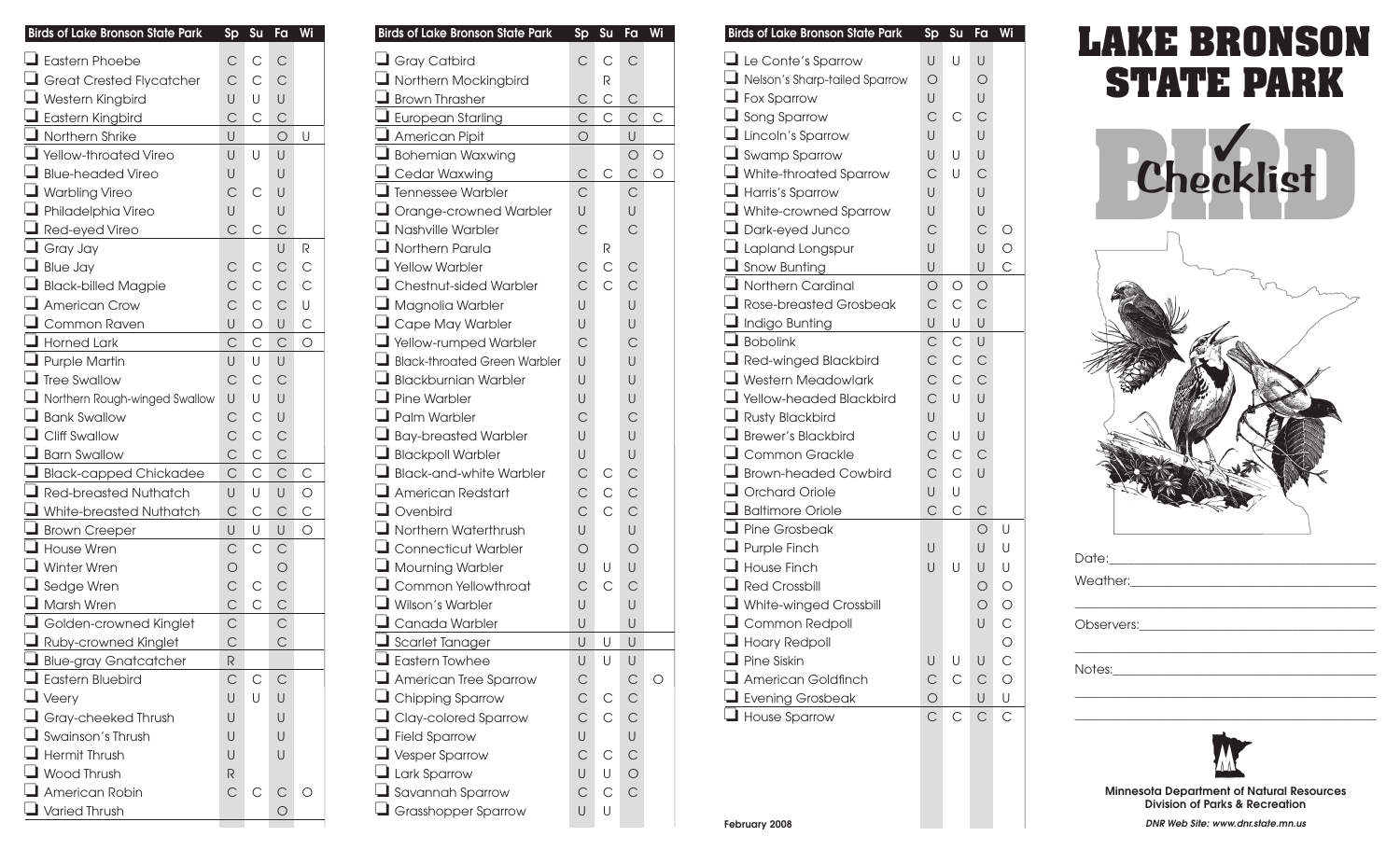| <b>Birds of Lake Bronson State Park</b> | $s_{p}$        | Su           | Fa           | Wi           |
|-----------------------------------------|----------------|--------------|--------------|--------------|
| $\Box$ Eastern Phoebe                   | С              | С            | $\mathsf{C}$ |              |
| Great Crested Flycatcher                | $\mathsf{C}$   | $\mathsf{C}$ | $\mathsf{C}$ |              |
| $\Box$ Western Kingbird                 | U              | U            | U            |              |
| Eastern Kingbird                        | $\mathsf{C}$   | С            | $\mathsf{C}$ |              |
| $\Box$ Northern Shrike                  | U              |              | $\bigcirc$   | U            |
| Vellow-throated Vireo                   | U              | U            | U            |              |
| Blue-headed Vireo                       | U              |              | U            |              |
| Warbling Vireo                          | $\mathsf{C}$   | С            | U            |              |
| Philadelphia Vireo                      | U              |              | U            |              |
| $\Box$ Red-eyed Vireo                   | $\mathsf{C}$   | С            | $\mathsf{C}$ |              |
| $\Box$ Gray Jay                         |                |              | U            | R            |
| $\Box$ Blue Jay                         | С              | С            | $\mathsf{C}$ | $\mathsf{C}$ |
| Black-billed Magpie                     | $\mathsf{C}$   | $\mathsf C$  | $\mathsf{C}$ | $\mathsf{C}$ |
| American Crow                           | $\mathsf{C}$   | $\mathsf{C}$ | $\mathsf{C}$ | U            |
| $\Box$ Common Raven                     | U              | $\bigcirc$   | U            | $\mathsf{C}$ |
| $\Box$ Horned Lark                      | С              | $\mathsf{C}$ | $\mathsf{C}$ | О            |
| $\Box$ Purple Martin                    | U              | U            | U            |              |
| $\Box$ Tree Swallow                     | $\mathsf{C}$   | $\mathsf{C}$ | $\mathsf{C}$ |              |
| Northern Rough-winged Swallow           | U              | U            | U            |              |
| Bank Swallow                            | $\mathsf{C}$   | $\mathsf{C}$ | U            |              |
| Cliff Swallow                           | $\mathsf C$    | $\mathsf C$  | $\mathsf{C}$ |              |
| $\Box$ Barn Swallow                     | C              | $\mathsf{C}$ | $\mathsf{C}$ |              |
| Black-capped Chickadee                  | $\overline{C}$ | $\mathsf{C}$ | $\mathsf{C}$ | С            |
| Red-breasted Nuthatch                   | U              | U            | U            | $\bigcirc$   |
| White-breasted Nuthatch                 | $\mathsf{C}$   | $\mathsf{C}$ | $\mathsf{C}$ | $\mathsf{C}$ |
| Brown Creeper                           | U              | U            | U            | $\circ$      |
| House Wren                              | С              | $\mathsf{C}$ | $\mathsf{C}$ |              |
| $\Box$ Winter Wren                      | $\bigcirc$     |              | $\bigcirc$   |              |
| Sedge Wren                              | $\mathsf C$    | С            | $\mathsf{C}$ |              |
| Marsh Wren                              | $\mathsf{C}$   | $\mathsf{C}$ | $\subset$    |              |
| $\Box$ Golden-crowned Kinglet           | $\mathsf{C}$   |              | $\mathsf{C}$ |              |
| Ruby-crowned Kinglet                    | $\mathsf{C}$   |              | $\mathsf{C}$ |              |
| Blue-gray Gnatcatcher                   | R              |              |              |              |
| $\Box$ Eastern Bluebird                 | С              | С            | С            |              |
| $\Box$ Veery                            | U              | U            | U            |              |
| $\Box$ Gray-cheeked Thrush              | U              |              | U            |              |
| $\Box$ Swainson's Thrush                | U              |              | U            |              |
| $\Box$ Hermit Thrush                    | U              |              | U            |              |
| $\Box$ Wood Thrush                      | R              |              |              |              |
| $\Box$ American Robin                   | С              | С            | С            | Ο            |
| $\Box$ Varied Thrush                    |                |              | О            |              |

| <b>Birds of Lake Bronson State Park</b>                 | $s_{p}$        | Su           | Fa             | Wi             |
|---------------------------------------------------------|----------------|--------------|----------------|----------------|
| $\Box$ Gray Catbird                                     | $\mathsf{C}$   | $\mathsf{C}$ | $\mathsf{C}$   |                |
| $\Box$ Northern Mockingbird                             |                | R            |                |                |
| Brown Thrasher                                          | $\mathsf{C}$   | $\mathsf C$  | $\mathsf{C}$   |                |
| European Starling                                       | $\mathsf C$    | $\mathsf{C}$ | $\mathsf{C}$   | $\overline{C}$ |
| American Pipit                                          | $\overline{O}$ |              | U              |                |
| $\Box$ Bohemian Waxwing                                 |                |              | $\bigcirc$     | $\circ$        |
| Cedar Waxwing Carrier Corporation                       | $\mathsf{C}$   | $\mathsf{C}$ | $\mathsf{C}$   | $\overline{O}$ |
| Tennessee Warbler                                       | $\mathsf{C}$   |              | C              |                |
| $\Box$ Orange-crowned Warbler                           | $\bigcup$      |              | U              |                |
| $\Box$ Nashville Warbler                                | $\mathsf{C}$   |              | $\mathsf{C}$   |                |
| $\Box$ Northern Parula                                  |                | R            |                |                |
| Yellow Warbler                                          | $\mathsf{C}$   | $\mathsf{C}$ | $\mathsf{C}$   |                |
| $\Box$ Chestnut-sided Warbler                           | $\mathsf{C}$   | $\mathsf{C}$ | $\mathsf{C}$   |                |
| $\Box$ Magnolia Warbler                                 | U              |              | U              |                |
| $\Box$ Cape May Warbler                                 | U              |              | U              |                |
| $\Box$ Yellow-rumped Warbler                            | $\mathsf{C}$   |              | $\mathsf{C}$   |                |
| $\Box$ Black-throated Green Warbler                     | U              |              | U              |                |
| $\Box$ Blackburnian Warbler                             | U              |              | U              |                |
| $\Box$ Pine Warbler                                     | U              |              | U              |                |
| $\Box$ Palm Warbler                                     | $\mathsf{C}$   |              | $\mathsf{C}$   |                |
| $\Box$ Bay-breasted Warbler                             | $\bigcup$      |              | U              |                |
| $\Box$ Blackpoll Warbler                                | $\cup$         |              | U              |                |
| $\Box$ Black-and-white Warbler                          | $\mathsf{C}$   | С            | $\mathsf{C}$   |                |
| $\Box$ American Redstart                                | $\mathsf{C}$   | $\mathsf C$  | $\mathsf{C}$   |                |
| $\Box$ Ovenbird                                         | $\mathsf{C}$   | $\mathsf{C}$ | $\mathsf{C}$   |                |
| $\Box$ Northern Waterthrush                             | $\bigcup$      |              | U              |                |
| $\Box$ Connecticut Warbler                              | $\bigcirc$     |              | $\bigcirc$     |                |
| $\Box$ Mourning Warbler                                 | $\bigcup$      | U            | U              |                |
| $\Box$ Common Yellowthroat                              | $\mathsf{C}$   | $\mathsf{C}$ | $\mathsf{C}$   |                |
| $\Box$ Wilson's Warbler                                 | U              |              | U              |                |
| Canada Warbler                                          | $\cup$         |              | U              |                |
| <u>-</u><br><u>Biscarlet Tanager</u><br>Exastern Towhee | $\bigcup$      | U            | $\cup$         |                |
|                                                         | U              | U            | U              |                |
| American Tree Sparrow                                   | $\subset$      |              | $\subset$      | $\circ$        |
| $\Box$ Chipping Sparrow                                 | $\mathsf{C}$   | С            | $\mathsf{C}$   |                |
| $\Box$ Clay-colored Sparrow                             | $\mathsf{C}$   | C            | $\mathsf{C}$   |                |
| $\Box$ Field Sparrow                                    | U              |              | U              |                |
| $\Box$ Vesper Sparrow                                   | $\mathsf{C}$   | $\mathsf{C}$ | $\mathsf{C}$   |                |
| $\Box$ Lark Sparrow                                     | U              | U            | $\circ$        |                |
| $\Box$ Savannah Sparrow                                 | $\mathsf{C}$   | $\mathsf{C}$ | $\overline{C}$ |                |
| $\Box$ Grasshopper Sparrow                              | U              | U            |                |                |

|                   | Sp Su Fa     |              | Wi           |
|-------------------|--------------|--------------|--------------|
| $\mathsf{C}$      | $\mathsf C$  | $\mathsf{C}$ |              |
| $\mathsf C$<br>С  |              | $\mathsf{C}$ |              |
| U<br>U            |              |              |              |
| $\mathsf{C}$<br>С |              | $\mathsf{C}$ |              |
| $\cup$            |              | $\circ$      | $\cup$       |
|                   | U            | $\cup$       |              |
|                   |              | U            |              |
|                   | $\mathsf{C}$ | U            |              |
|                   |              | $\cup$       |              |
| $\mathsf{C}$      | $\mathsf C$  | $\mathsf{C}$ |              |
|                   |              | $\cup$       | $\mathsf R$  |
| С                 | $\mathsf C$  | $\mathsf{C}$ | $\mathsf{C}$ |
| С                 | С            | $\mathsf C$  | $\mathsf{C}$ |
| С                 | C            | $\mathsf{C}$ | $\cup$       |
|                   | $\bigcirc$   | $\cup$       | $\mathsf{C}$ |
| $\mathsf{C}$      | $\mathsf{C}$ | $\mathsf{C}$ | $\circ$      |
| $\cup$            | $\cup$       | $\cup$       |              |
| С                 | $\mathsf{C}$ | $\mathsf{C}$ |              |
| U                 | $\cup$       | U            |              |
| С                 | $\mathsf{C}$ | U            |              |
|                   | С            | $\mathsf{C}$ |              |
| C                 | $\mathsf{C}$ | $\mathsf{C}$ |              |
| $\mathsf{C}$      | $\mathsf{C}$ | $\mathsf{C}$ | $\mathsf{C}$ |
| U                 | U            | $\cup$       | $\circ$      |
| $\mathsf{C}$      | $\mathsf{C}$ | $\mathsf{C}$ | $\mathsf{C}$ |
| U                 | $\cup$       | U            | $\circ$      |
| $\mathsf{C}$      | $\mathsf{C}$ | $\mathsf{C}$ |              |
| O                 |              | $\circ$      |              |
| С                 | С            | $\mathsf{C}$ |              |
| $\mathsf{C}$      | $\mathsf{C}$ | $\mathsf{C}$ |              |
| $\mathsf C$       |              | $\mathsf{C}$ |              |
| $\mathsf{C}$      |              | $\mathsf C$  |              |
| $\mathsf R$       |              |              |              |
| $\mathsf C$       | $\mathsf C$  | $\mathsf C$  |              |
| U                 | U            | U            |              |
| U                 |              | U            |              |
| U                 |              | U            |              |
| U                 |              | U            |              |
|                   |              |              |              |

## **LAKE BRONSON STATE PARK**





| Date: 2008 |  |  |
|------------|--|--|
|            |  |  |
|            |  |  |
|            |  |  |
|            |  |  |
|            |  |  |
|            |  |  |
|            |  |  |



**Minnesota Department of Natural Resources Division of Parks & Recreation**

**DNR Web Site: www.dnr.state.mn.us**

**February 2008**